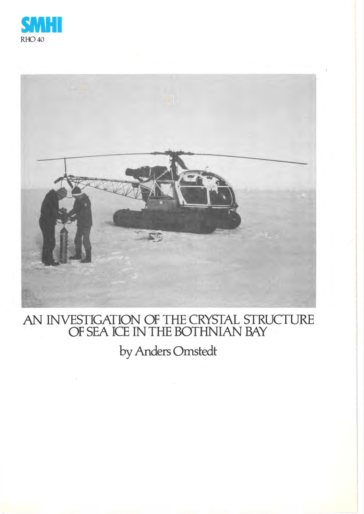



## AN INVESTIGATION OF THE CRYSTAL STRUCTURE OF SEA ICE IN THE BOTHNIAN BAY

by Anders Omstedt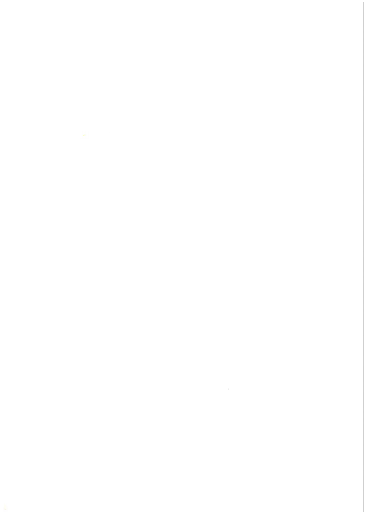$\label{eq:2.1} \frac{1}{2} \sum_{i=1}^n \frac{1}{2} \sum_{j=1}^n \frac{1}{2} \sum_{j=1}^n \frac{1}{2} \sum_{j=1}^n \frac{1}{2} \sum_{j=1}^n \frac{1}{2} \sum_{j=1}^n \frac{1}{2} \sum_{j=1}^n \frac{1}{2} \sum_{j=1}^n \frac{1}{2} \sum_{j=1}^n \frac{1}{2} \sum_{j=1}^n \frac{1}{2} \sum_{j=1}^n \frac{1}{2} \sum_{j=1}^n \frac{1}{2} \sum_{j=1}^n \frac{$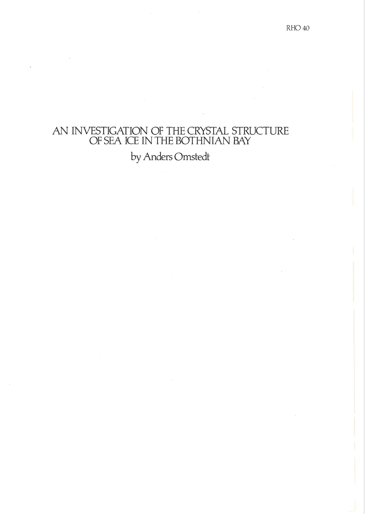# AN INVESTIGATION OF THE CRYSTAL STRUCTURE OF SEA ICE IN THE BOTHNIAN BAY

# by Anders Omstedt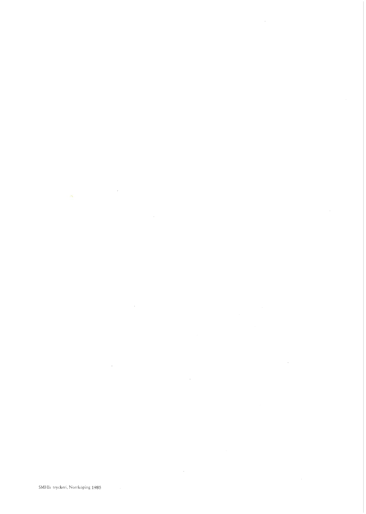$\mathcal{L}^{\mathcal{L}}$ 

 $\sim 10^6$ 

 $\mathcal{A}$  $\sim 10^7$ 

 $\sim$ 

 $\hat{\mathcal{A}}$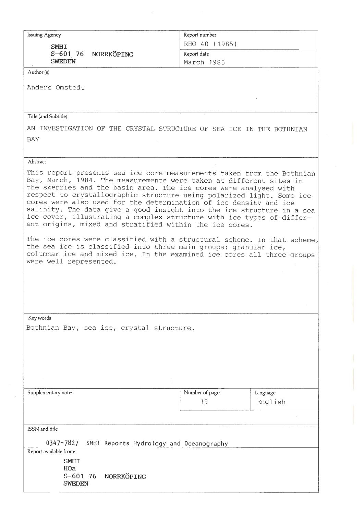| <b>Issuing Agency</b> | Report number |
|-----------------------|---------------|
| <b>SMHT</b>           | RHO 40 (1985) |
| S-601 76 NORRKÖPING   | Report date   |
| <b>SWEDEN</b>         | March 1985    |
| Author (s)            |               |

Anders Omstedt

**Title (and Subtitle)** 

AN INVESTIGATION OF THE CRYSTAL STRUCTURE OF SEA ICE IN THE BOTHNIAN BAY

#### **Abstract**

This report presents sea ice core measurements taken from the Bothnian Bay, March, 1984. The measurements were taken at different sites in the skerries and the basin area. The ice cores were analysed with respect to crystallographic structure using polarized light. Some ice cores were also used for the determination of ice density and ice salinity. The data give a good insight into the ice structure in a sea ice cover, illustrating a complex structure with ice types of different origins, mixed and stratified within the ice cores.

The ice cores were classified with a structural scheme. In that scheme, the sea ice is classified into three main groups: granular ice, columnar ice and mixed ice. In the examined ice cores all three groups were well represented.

**Keywords**  Bothnian Bay, sea ice, crystal structure.

**Supplementary notes** 

**Number of pages**  1 9

**Language**  English

**ISSN and title** 

**0347-7827 SMHI Reports Hydroloqy and Oceanoqraohv** 

Report available from: **SMHI**  HOa **S-601 76 NORRKÖPING** 

**SWEDEN**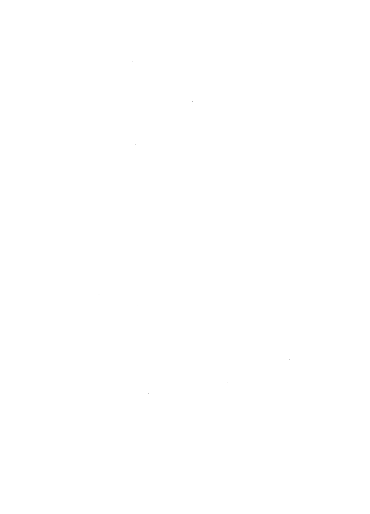$\label{eq:2.1} \frac{1}{2} \int_{\mathbb{R}^3} \frac{1}{\sqrt{2\pi}} \int_{\mathbb{R}^3} \frac{1}{\sqrt{2\pi}} \int_{\mathbb{R}^3} \frac{1}{\sqrt{2\pi}} \int_{\mathbb{R}^3} \frac{1}{\sqrt{2\pi}} \int_{\mathbb{R}^3} \frac{1}{\sqrt{2\pi}} \int_{\mathbb{R}^3} \frac{1}{\sqrt{2\pi}} \int_{\mathbb{R}^3} \frac{1}{\sqrt{2\pi}} \int_{\mathbb{R}^3} \frac{1}{\sqrt{2\pi}} \int_{\mathbb{R}^3}$ 

 $\label{eq:2.1} \frac{1}{\sqrt{2\pi}}\int_{0}^{\infty}\frac{1}{\sqrt{2\pi}}\left(\frac{1}{\sqrt{2\pi}}\right)^{2\alpha} \frac{1}{\sqrt{2\pi}}\int_{0}^{\infty}\frac{1}{\sqrt{2\pi}}\frac{1}{\sqrt{2\pi}}\int_{0}^{\infty}\frac{1}{\sqrt{2\pi}}\frac{1}{\sqrt{2\pi}}\frac{1}{\sqrt{2\pi}}\frac{1}{\sqrt{2\pi}}\frac{1}{\sqrt{2\pi}}\frac{1}{\sqrt{2\pi}}\frac{1}{\sqrt{2\pi}}\frac{1}{\sqrt{2\pi}}\frac{1}{\$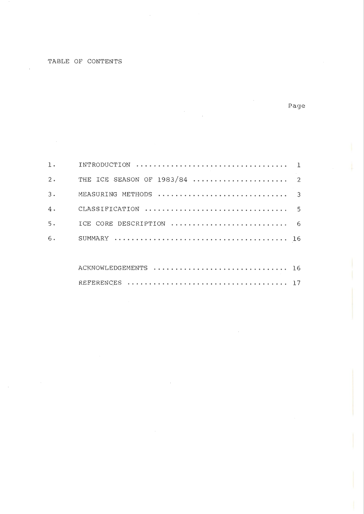Page

| 1. |                              |  |
|----|------------------------------|--|
| 2. | THE ICE SEASON OF 1983/84  2 |  |
| 3. |                              |  |
| 4. |                              |  |
| 5. | ICE CORE DESCRIPTION  6      |  |
| 6. |                              |  |
|    |                              |  |
|    | ACKNOWLEDGEMENTS  16         |  |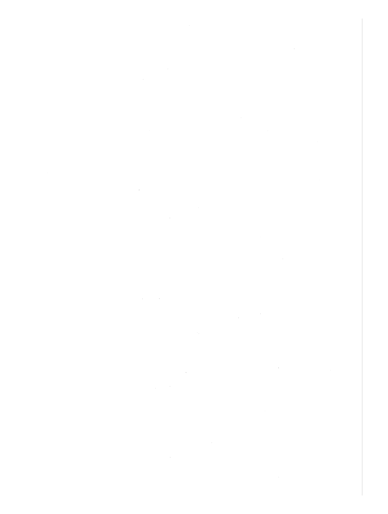$\label{eq:2.1} \frac{1}{\sqrt{2}}\int_{\mathbb{R}^3}\frac{1}{\sqrt{2}}\left(\frac{1}{\sqrt{2}}\right)^2\frac{1}{\sqrt{2}}\left(\frac{1}{\sqrt{2}}\right)^2\frac{1}{\sqrt{2}}\left(\frac{1}{\sqrt{2}}\right)^2.$ 

 $\label{eq:2} \frac{1}{\sqrt{2}}\int_{0}^{\infty}\frac{1}{\sqrt{2\pi}}\left(\frac{1}{\sqrt{2\pi}}\right)^{2}d\mu\,d\mu\,.$  $\label{eq:2.1} \frac{1}{\sqrt{2}}\left(\frac{1}{\sqrt{2}}\right)^{2} \left(\frac{1}{\sqrt{2}}\right)^{2} \left(\frac{1}{\sqrt{2}}\right)^{2} \left(\frac{1}{\sqrt{2}}\right)^{2} \left(\frac{1}{\sqrt{2}}\right)^{2} \left(\frac{1}{\sqrt{2}}\right)^{2} \left(\frac{1}{\sqrt{2}}\right)^{2} \left(\frac{1}{\sqrt{2}}\right)^{2} \left(\frac{1}{\sqrt{2}}\right)^{2} \left(\frac{1}{\sqrt{2}}\right)^{2} \left(\frac{1}{\sqrt{2}}\right)^{2} \left(\$ 

 $\label{eq:2.1} \mathcal{L}(\mathcal{L}^{\text{max}}_{\mathcal{L}}(\mathcal{L}^{\text{max}}_{\mathcal{L}}(\mathcal{L}^{\text{max}}_{\mathcal{L}}(\mathcal{L}^{\text{max}}_{\mathcal{L}^{\text{max}}_{\mathcal{L}}}))))$  $\label{eq:2.1} \frac{1}{\sqrt{2\pi}}\int_{0}^{\infty}\frac{1}{\sqrt{2\pi}}\left(\frac{1}{\sqrt{2\pi}}\right)^{2\alpha} \frac{1}{\sqrt{2\pi}}\int_{0}^{\infty}\frac{1}{\sqrt{2\pi}}\left(\frac{1}{\sqrt{2\pi}}\right)^{\alpha} \frac{1}{\sqrt{2\pi}}\frac{1}{\sqrt{2\pi}}\int_{0}^{\infty}\frac{1}{\sqrt{2\pi}}\frac{1}{\sqrt{2\pi}}\frac{1}{\sqrt{2\pi}}\frac{1}{\sqrt{2\pi}}\frac{1}{\sqrt{2\pi}}\frac{1}{\sqrt{2\$ 

 $\label{eq:2.1} \frac{1}{\sqrt{2\pi}}\int_{\mathbb{R}^3}\frac{1}{\sqrt{2\pi}}\int_{\mathbb{R}^3}\frac{1}{\sqrt{2\pi}}\int_{\mathbb{R}^3}\frac{1}{\sqrt{2\pi}}\int_{\mathbb{R}^3}\frac{1}{\sqrt{2\pi}}\int_{\mathbb{R}^3}\frac{1}{\sqrt{2\pi}}\int_{\mathbb{R}^3}\frac{1}{\sqrt{2\pi}}\int_{\mathbb{R}^3}\frac{1}{\sqrt{2\pi}}\int_{\mathbb{R}^3}\frac{1}{\sqrt{2\pi}}\int_{\mathbb{R}^3}\frac{1$ 

 $\mathcal{L}^{\text{max}}_{\text{max}}$  and  $\mathcal{L}^{\text{max}}_{\text{max}}$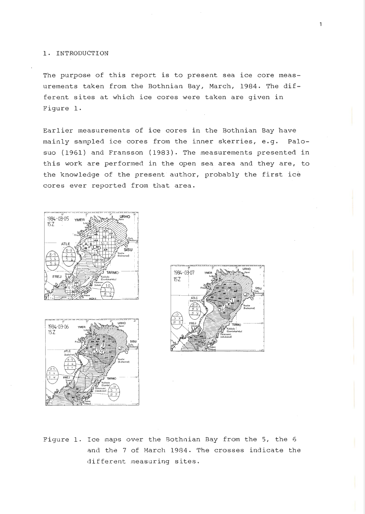1. INTRODUCTION

The purpose of this report is to present sea ice core measurements taken from the Bothnian Bay, March, 1984. The different sites at which ice cores were taken are given in Figure 1.

Earlier measurements of ice cores in the Bothnian Bay have mainly sampled ice cores from the inner skerries, e.g. Palosuo (1961) and Fransson (1983). The measurements presented in this work are performed in the open sea area and they are, to the knowledge of the present author, probably the first ice cores ever reported from that area.







Figure 1. Ice maps over the Bothnian Bay from the 5, the 6 and the 7 of March 1984. The crosses indicate the different measuring sites.

 $\mathbf{1}$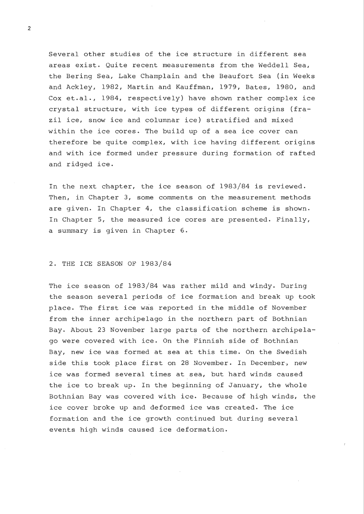Several other studies of the ice structure in different sea areas exist. Quite recent measurements from the Weddell Sea, the Bering Sea, Lake Champlain and the Beaufort Sea (in Weeks and Ackley, 1982, Martin and Kauffman, 1979, Bates, 1980, and Cox et.al., 1984, respectively) have shown rather complex ice crystal structure, with ice types of different origins (frazil ice, snow ice and columnar ice) stratified and mixed within the ice cores. The build up of a sea ice cover can therefore be quite complex, with ice having different origins and with ice formed under pressure during formation of rafted and ridged ice.

In the next chapter, the ice season of 1983/84 is reviewed. Then, in Chapter 3, some comments on the measurement methods are given. In Chapter 4, the classification scheme is shown. In Chapter 5, the measured ice cores are presented. Finally, a summary is given in Chapter 6 .

### 2. THE ICE SEASON OF 1983/84

The ice season of 1983/84 was rather mild and windy. During the season several periods of ice formation and break up took place. The first ice was reported in the middle of November from the inner archipelago in the northern part of Bothnian Bay. About 23 November large parts of the northern archipelago were covered with ice. On the Finnish side of Bothnian Bay, new ice was formed at sea at this time. On the Swedish side this took place first on 28 November. In December, new ice was formed several times at sea, but hard winds caused the ice to break up. In the beginning of January, the whole Bothnian Bay was covered with ice. Because of high winds, the ice cover broke up and deformed ice was created. The ice formation and the ice growth continued but during several events high winds caused ice deformation .

2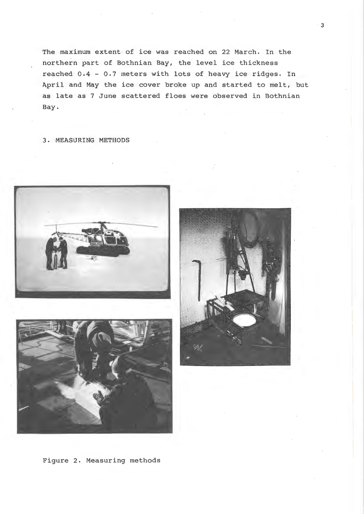The maximum extent of ice was reached on 22 March. In the northern part of Bothnian Bay, the level ice thickness reached Q.4 - 0,7 meters with lots of heavy ice ridges. In April and May the ice cover broke up and started to melt, but as late as 7 June scattered floes were observed in Bothnian Bay.

3. MEASURING METHODS







Figure 2. Measuring methods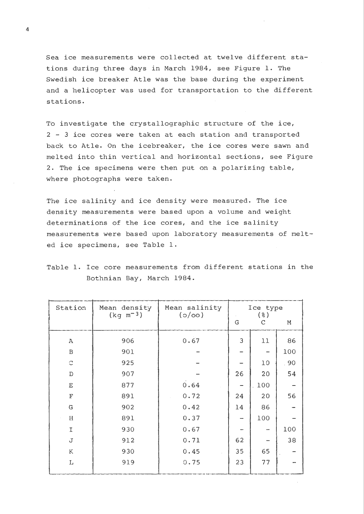Sea ice measurements were collected at twelve different stations during three days in March 1984, see Figure 1. The Swedish ice breaker Atle was the base during the experiment and a helicopter was used for transportation to the different stations.

To investigate the crystallographic structure of the ice, 2 - <sup>3</sup>ice cores were taken at each station and transported back to Atle. On the icebreaker, the ice cores were sawn and melted into thin vertical and horizontal sections, see Figure 2. The ice specimens were then put on a polarizing table, where photographs were taken.

The ice salinity and ice density were measured. The ice density measurements were based upon a volume and weight determinations of the ice cores, and the ice salinity measurements were based upon laboratory measurements of melted ice specimens, see Table 1.

| Station            | Mean density<br>$(kq \; m^{-3})$ | Mean salinity<br>(o/o) | G  | Ice type<br>$($ $\frac{8}{6}$ $)$<br>$\mathsf{C}$ | М   |
|--------------------|----------------------------------|------------------------|----|---------------------------------------------------|-----|
|                    |                                  |                        |    |                                                   |     |
| Α                  | 906                              | 0.67                   | 3  | 11                                                | 86  |
| $\, {\bf B}$       | 901                              |                        |    | $\overline{\phantom{a}}$                          | 100 |
| C                  | 925                              |                        |    | 10                                                | .90 |
| $\mathbb D$        | 907                              |                        | 26 | 20                                                | 54  |
| $\mathbf E$        | 877                              | 0.64                   |    | 100                                               |     |
| $\mathbf{F}% _{0}$ | 891                              | 0.72                   | 24 | 20                                                | 56  |
| G                  | 902                              | 0.42                   | 14 | 86                                                |     |
| $\rm H$            | 891                              | 0.37                   |    | 100                                               |     |
| $\mathbf I$        | 930                              | 0.67                   |    |                                                   | 100 |
| $\overline{J}$     | 912                              | 0.71                   | 62 |                                                   | 38  |
| $\rm K$            | 930                              | 0.45                   | 35 | 65                                                |     |
| $\Gamma$           | 919                              | 0.75                   | 23 | 77                                                |     |
|                    |                                  |                        |    |                                                   |     |

Table 1. Ice core measurements from different stations in the Bothnian Bay, March 1984 .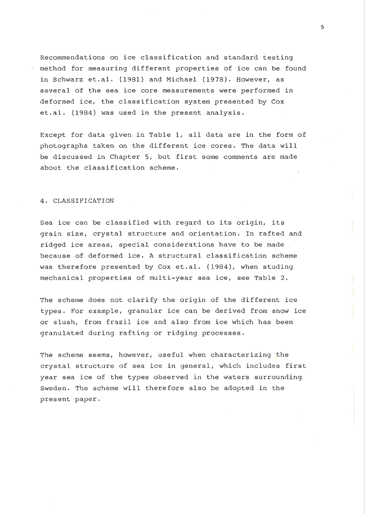Recommendations on ice classification and standard testing method for measuring different properties of ice can be found in Schwarz et.al. (1981) and Michael (1978). However, as several of the sea ice core measurements were performed in deformed ice, the classification system presented by Cox et.al. (1984) was used in the present analysis.

Except for data given in Table 1, all data· are in the form of photographs taken on the different ice cores. The data will be discussed in Chapter 5, but first some comments are made about the classification scheme.

#### 4. CLASSIFICATION

Sea ice can be classified with regard to its origin, its grain size, crystal structure and orientation. In rafted and ridged ice areas, special considerations have to be made because of deformed ice. A structural classification scheme was therefore presented by Cox et.al. (1984), when studing mechanical properties of multi-year sea ice, see Table 2.

The scheme does not clarify the origin of the different ice types. For example, granular ice can be derived from snow ice or slush, from frazil ice and also from ice which has been granulated during rafting or ridging processes.

The scheme seems, however, useful when characterizing the crystal structure of sea ice in general, which includes first year sea ice of the types observed in the waters surrounding Sweden. The scheme will therefore also be adopted in the present paper.

5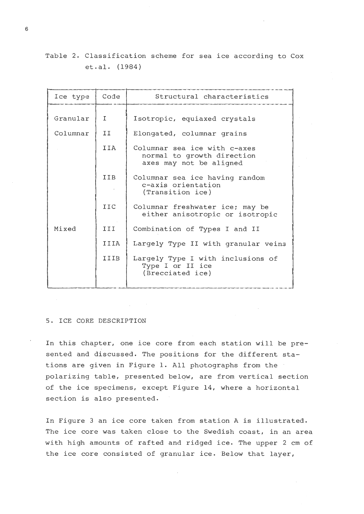|  |               |  |  | Table 2. Classification scheme for sea ice according to Cox |  |
|--|---------------|--|--|-------------------------------------------------------------|--|
|  | et.al. (1984) |  |  |                                                             |  |

| Ice type | Code        | Structural characteristics                                                            |
|----------|-------------|---------------------------------------------------------------------------------------|
|          |             |                                                                                       |
| Granular | T           | Isotropic, equiaxed crystals                                                          |
| Columnar | II          | Elongated, columnar grains                                                            |
|          | IIA         | Columnar sea ice with c-axes<br>normal to growth direction<br>axes may not be aligned |
|          | IIB         | Columnar sea ice having random<br>c-axis orientation<br>(Transition ice)              |
|          | <b>TIC</b>  | Columnar freshwater ice; may be<br>either anisotropic or isotropic                    |
| Mixed    | III         | Combination of Types I and II                                                         |
|          | IIIA        | Largely Type II with granular veins                                                   |
|          | <b>IIIB</b> | Largely Type I with inclusions of<br>Type I or II ice<br>(Brecciated ice)             |

#### 5. ICE CORE DESCRIPTION

In this chapter, one ice core from each station will be presented and discussed. The positions for the different stations are given in Figure 1. All photographs from the polarizing table, presented below, are from vertical section of the ice specimens, except Figure 14, where a horizontal section is also presented.

In Figure 3 an ice core taken from station A is illustrated. The ice core was taken close to the Swedish coast, in an area with high amounts of rafted and ridged ice. The upper 2 cm of the ice core consisted of granular ice. Below that layer,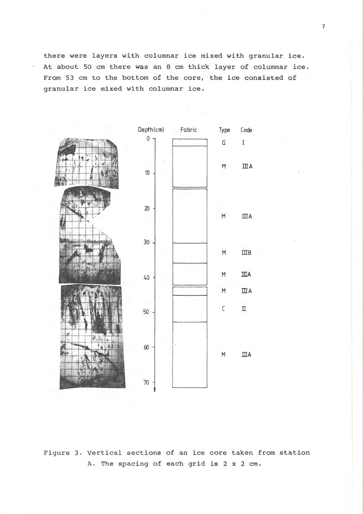there were layers with columnar ice mixed with granular ice. At about 50 cm there was an 8 cm thick layer of columnar ice. From 53 cm to the bottom of the core, the ice consisted of granular ice mixed with columnar ice.



Figure 3. Vertical sections of an ice core taken from station A. The spacing of each grid is 2 x 2 cm.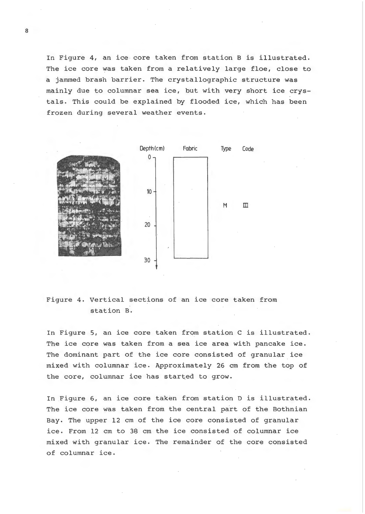In Figure 4, an ice core taken from station B is illustrated. The ice core was taken from a relatively large floe, close to a jammed brash barrier. The crystallographic structure was mainly due to columnar sea ice, but with very short ice crystals. This could be explained by flooded ice, which has been frozen during several weather events.



Figure 4. Vertical sections of an ice core taken from station B.

In Figure 5, an ice core taken from station C is illustrated. The ice core was taken from a sea ice area with pancake ice. The dominant part of the ice core consisted of granular ice mixed with columnar ice. Approximately 26 cm from the top of the core, columnar ice has started to grow.

In Figure 6, an ice core taken from station Dis illustrated. The ice core was taken from the central part of the Bothnian Bay. The upper 12 cm of the ice core consisted of granular ice. From 12 cm to 38 cm the ice consisted of columnar ice mixed with granular ice. The remainder of the core consisted of columnar ice.

8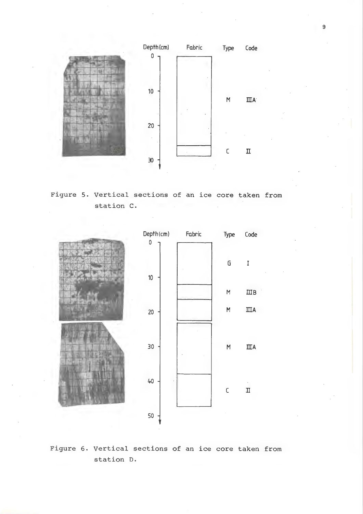

Figure 5. Vertical sections of an ice core taken from station C.



Figure 6. Vertical sections of an ice core taken from station D.

9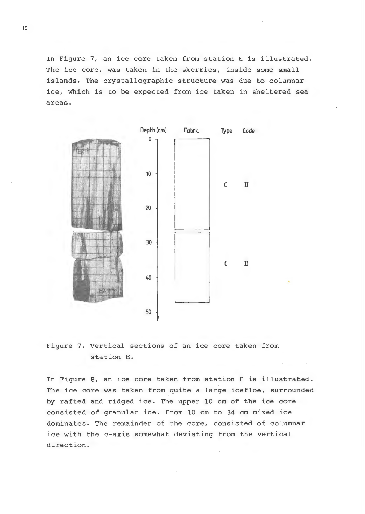In Figure 7, an ice core taken from station E is illustrated. The ice core, was taken in the skerries, inside some small islands. The crystallographic structure was due to columnar ice, which is to be expected from ice taken in sheltered sea areas.





In Figure 8, an ice core taken from station F is illustrated. The ice core was taken from quite a large icefloe, surrounded by rafted and ridged ice. The upper 10 cm of the ice core consisted of granular ice. From 10 cm to 34 cm mixed ice dominates. The remainder of the core, consisted of columnar ice with the c-axis somewhat deviating from the vertical direction .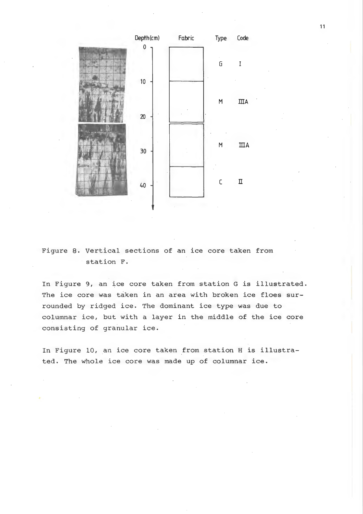

### Figure 8. Vertical sections of an ice core taken from station F.

In Figure 9, an ice core taken from station G is illustrated. The ice core was taken in an area with broken ice floes surrounded by ridged ice. The dominant ice type was due to columnar ice, but with a layer in the middle of the ice core consisting of granular ice.

In Figure 10, an ice core taken from station H is illustrated. The whole ice core was made up of columnar ice.

11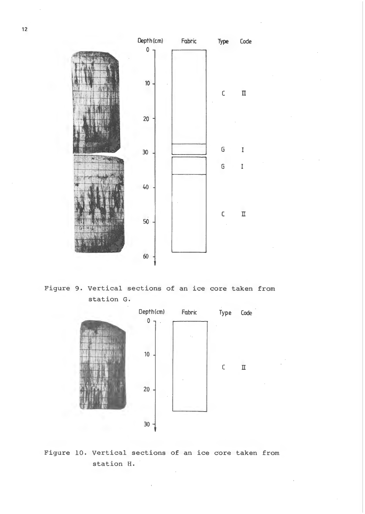







 $\bar{1}$ 

 $\overline{\phantom{a}}$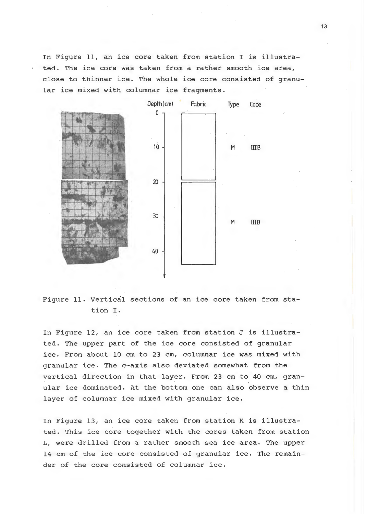In Figure 11, an ice core taken from station I is illustrated. The ice core was taken from a rather smooth ice area, close to thinner ice. The whole ice core consisted of granular ice mixed with columnar ice fragments.



Figure 11, Vertical sections of an ice core taken from station I.

In Figure 12, an ice core taken from station J is illustrated. The upper part of the ice core consisted of granular ice. From about 10 cm to 23 cm, columnar ice was mixed with granular ice. The c-axis also deviated somewhat from the vertical direction in that layer. From 23 cm to 40 cm, granular ice dominated. At the bottom one can also observe a thin layer of columnar ice mixed with granular ice.

In Figure 13, an ice core taken from station Kis illustrated. This ice core together with the cores taken from station L, were drilled from a rather smooth sea ice area. The upper 14 cm of the ice core consisted of granular ice. The remainder of the core consisted of columnar ice.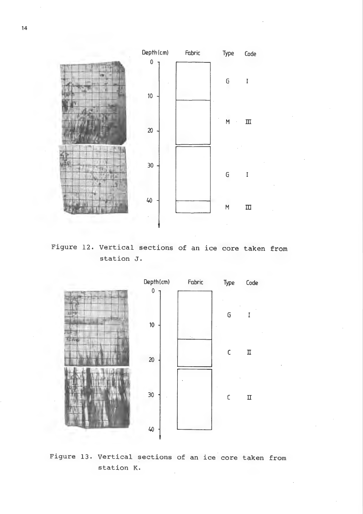

Figure 12, Vertical sections of an ice core taken from station J.



Figure 13. Vertical sections of an ice core taken from station K,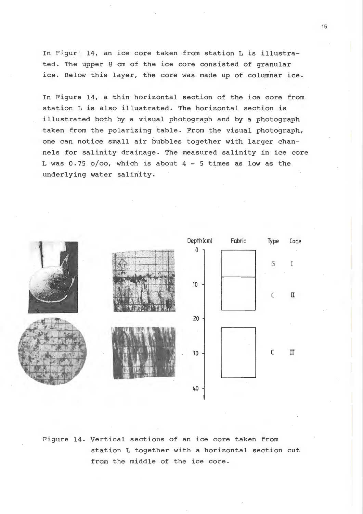In Figur 14, an ice core taken from station L is illustrated. The upper 8 cm of the ice core consisted of granular ice. Below this layer, the core was made up of columnar ice.

In Figure 14, a thin horizontal section of the ice core from station Lis also illustrated. The horizontal section is illustrated both by a visual photograph and by a photograph taken from the polarizing table. From the visual photograph, one can notice small air bubbles together with larger channels for salinity drainage. The measured salinity in ice core L was  $0.75$  o/oo, which is about  $4 - 5$  times as low as the underlying water salinity.



Figure 14. Vertical sections of an ice core taken from station L together with a horizontal section cut from the middle of the ice core.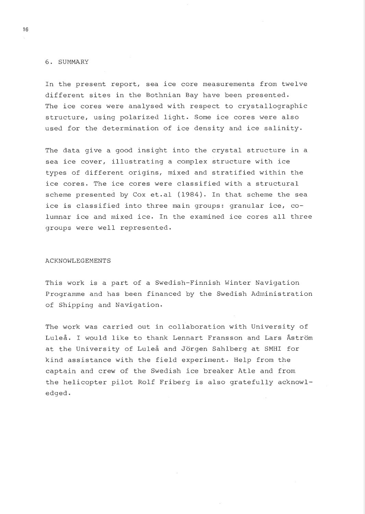#### 6. SUMMARY

In the present report, sea ice core measurements from twelve different sites in the Bothnian Bay have been presented. The ice cores were analysed with respect to crystallographic structure, using polarized light. Some ice cores were also used for the determination of ice density and ice salinity.

The data give a good insight into the crystal structure in a sea ice cover, illustrating a complex structure with ice types of different origins, mi xed and stratified within the ice cores. The ice cores were classified with a structural scheme presented by Cox et.al (1984). In that scheme the sea ice is classified into three main groups: granular ice, columnar ice and mixed ice. In the examined ice cores all three groups were well represented .

#### ACKNOWLEGEMENTS

This work isa part of a Swedish-Finnish Winter Navigation Programme and has been financed by the Swedish Administration of Shipping and Navigation.

The work was carried out in collaboration with University of Luleå. I would like to thank Lennart Fransson and Lars Åström at the University of Luleå and Jörgen Sahlberg at SMHI for kind assistance with the field experiment. Help from the captain and crew of the Swedish ice breaker Atle and from the helicopter pilot Rolf Friberg is also gratefully acknowledged .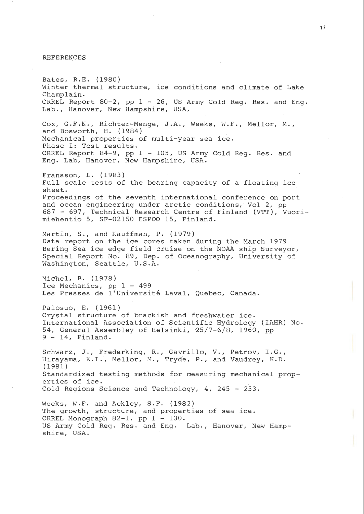#### REFERENCES

Bates, R.E. (1980) Winter thermal structure, ice conditions and climate of Lake Champlain. CRREL Report 80-2, pp 1 - 26, US Arrny Cold Reg. Res. and Eng. Lab., Hanover, New Hampshire, USA. Cox, G.F.N., Richter-Menge, J.A., Weeks, W.F., Mellor, M., and Bosworth, H. (1984) Mechanical properties of multi-year sea ice. Phase I: Test results. CRREL Report 84-9, pp 1 - 105, US Army Cold Reg. Res. and Eng. Lab, Hanover, New Hampshire, USA. Fransson, L. ( 1983) Full scale tests of the bearing capacity of a floating ice sheet. Proceedings of the seventh international conference on port and ocean engineering under arctic conditions, Vol 2, pp 687 - 697, Technical Research Centre of Finland (VTT), Vuorimiehentio 5, SF-02150 ESPOO 15, Finland. Martin, s., and Kauffman, P. (1979) Data report on the ice cores taken during the March 1979 Bering Sea ice edge field cruise on the NOAA ship Surveyor. Special Report No. 89, Dep. of Oceanography, University of Washington, Seattle, U.S.A. Michel, B. (1978) Ice Mechanics, pp  $1 - 499$ Les Presses de l'Université Laval, Quebec, Canada. Palosuo, E. (1961) Crystal structure of brackish and freshwater ice. International Association of Scientific Hydrology (IAHR) No. 54, General Assembley of Helsinki, 25/7-6/8, 1960, pp 9 - 14, Finland. Schwarz, J., Frederking, R., Gavrillo, V., Petrov, I.G., Hirayama, K.I., Mellor, M., Tryde, P., and Vaudrey, K.D. (1981) Standardized testing methods for measuring mechanical properties of ice. Cold Regions Science and Technology, 4, 245 - 253. Weeks, W.F. and Ackley, S.F. (1982) The growth, structure, and properties of sea ice. CRREL Monograph 82-1, pp 1 - 130. US Army Cold Reg. Res. and Eng. Lab., Hanover, New Hampshire, USA.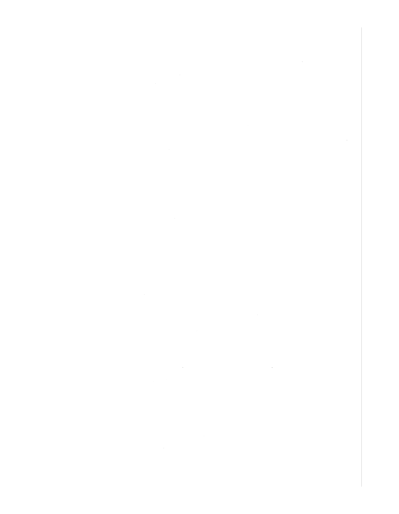$\label{eq:2.1} \frac{1}{\sqrt{2}}\int_{\mathbb{R}^3}\frac{1}{\sqrt{2}}\left(\frac{1}{\sqrt{2}}\right)^2\frac{1}{\sqrt{2}}\left(\frac{1}{\sqrt{2}}\right)^2\frac{1}{\sqrt{2}}\left(\frac{1}{\sqrt{2}}\right)^2\frac{1}{\sqrt{2}}\left(\frac{1}{\sqrt{2}}\right)^2.$  $\mathcal{L}(\mathcal{A})$ 

 $\label{eq:2.1} \frac{1}{2} \sum_{i=1}^n \frac{1}{2} \sum_{j=1}^n \frac{1}{2} \sum_{j=1}^n \frac{1}{2} \sum_{j=1}^n \frac{1}{2} \sum_{j=1}^n \frac{1}{2} \sum_{j=1}^n \frac{1}{2} \sum_{j=1}^n \frac{1}{2} \sum_{j=1}^n \frac{1}{2} \sum_{j=1}^n \frac{1}{2} \sum_{j=1}^n \frac{1}{2} \sum_{j=1}^n \frac{1}{2} \sum_{j=1}^n \frac{1}{2} \sum_{j=1}^n \frac{$  $\label{eq:2.1} \frac{1}{\sqrt{2}}\int_{\mathbb{R}^3}\frac{1}{\sqrt{2}}\left(\frac{1}{\sqrt{2}}\right)^2\frac{1}{\sqrt{2}}\left(\frac{1}{\sqrt{2}}\right)^2\frac{1}{\sqrt{2}}\left(\frac{1}{\sqrt{2}}\right)^2\frac{1}{\sqrt{2}}\left(\frac{1}{\sqrt{2}}\right)^2.$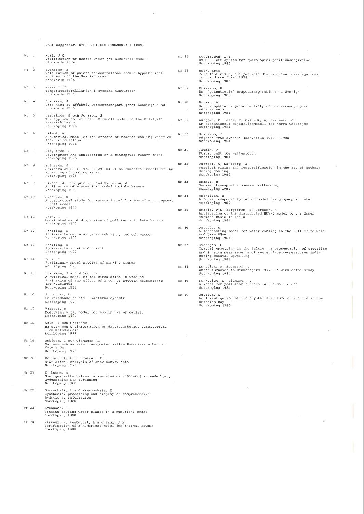SMHI Rapporter, HYDROLOGI OCH OCEANOGRAFI (RHO)

 $\bar{\beta}$ 

 $\hat{\mathcal{A}}$ 

| $Nr-1$           | Weil, J G<br>Verification of heated water jet numerical model<br>Stockholm 1974                                                                           | $Nr$ 25          | Eggertsson, L-E<br>HYPOS - ett system för hydrologisk positionsangivelse<br>Norrköping 1980                                                                            |
|------------------|-----------------------------------------------------------------------------------------------------------------------------------------------------------|------------------|------------------------------------------------------------------------------------------------------------------------------------------------------------------------|
| $Nr$ 2           | Svensson, J<br>Calculation of poison concentrations from a hypothetical<br>accident off the Swedish coast<br>Stockholm 1974                               | $Nr$ 26          | Buch, Erik<br>Turbulent mixing and particle distribution investigations<br>in the Himmerfjärd 1978<br>Norrköping 1980                                                  |
| Nr <sub>3</sub>  | Vasseur, B<br>Temperaturförhållanden i svenska kustvatten<br>Stockholm 1975                                                                               | $Nr$ 27          | Eriksson, B<br>Den "potentiella" evapotranspirationen i Sverige<br>Norrköping 1980                                                                                     |
| $Nr$ 4           | Svensson, J<br>Beräkning av effektiv vattentransport genom Sunninge sund<br>Stockholm 1975                                                                | Nr 28            | Broman, B<br>On the spatial representativity of our oceanographic<br>measurements<br>Norrköping 1981                                                                   |
| $Nr$ 5           | Bergström, S och Jönsson, S<br>The application of the HBV runoff model to the Filefjell<br>research basin<br>Norrköping 1976                              | $Nr$ 29          | Ambjorn, C, Luide, T, Omstedt, A, Svensson, J<br>En operationell oljedriftsmodell för norra Ostersjön<br>Norrköping 1981                                               |
| $Nr$ 6           | Wilmot, W<br>A numerical model of the effects of reactor cooling water on<br>fjord circulation<br>Norrköping 1976                                         | $Nr$ 30          | Svensson, J<br>Vågdata från svenska kustvatten 1979 - 1980<br>Norrköping 1981                                                                                          |
| $Nx = 7$         | Bergström, S<br>Development and application of a conceptual runoff model<br>Norrköping 1976                                                               | Nr <sub>31</sub> | Jutman, T<br>Stationsnät för vattenföring<br>Norrköping 1981                                                                                                           |
| $Nr$ 8           | Svensson, J<br>Seminars at SMHI 1976-03-29--04-01 on numerical models of the<br>spreading of cooling water<br>Norrköping 1976                             | $Nr$ 32          | Omstedt, A, Sahlberg, J<br>Vertical mixing and restratification in the Bay of Bothnia<br>during cooling<br>Norrköping 1982                                             |
| $Nr = 9$         | Simons, J, Funkquist, L and Svensson, J<br>Application of a numerical model to Lake Vänern<br>Norrköping 1977                                             | $N_T$ 33         | Brandt, M<br>Sedimenttransport i svenska vattendrag<br>Norrköping 1982                                                                                                 |
| Nr 10            | Svensson, S<br>A statistical study for automatic calibration of a conceptual<br>runoff model                                                              | Nr 34            | Bringfelt, B<br>A forest evapotranspiration model using synoptic data<br>Norrköping 1982                                                                               |
| Nr 11            | Norrköping 1977<br>Bork, I<br>Model studies of dispersion of pollutants in Lake Vänern                                                                    | Nr 35            | Bhatia, P K, Bergström, S, Persson, M<br>Application of the distributed HBV-6 model to the Upper<br>Narmada Basin in India<br>Norrköping 1984                          |
| Nr <sub>12</sub> | Norrköping 1977<br>Fremling, S<br>Sjöisars beroende av väder och vind, snö och vatten<br>Norrköping 1977                                                  | Nr 36            | Omstedt, A<br>A forecasting model for water cooling in the Gulf of Bothnia<br>and Lake Vänern<br>Norrköping 1984                                                       |
| Nr <sub>13</sub> | Fremling, S<br>Sjöisars bärighet vid trafik<br>Norrköping 1977                                                                                            | Nr 37            | Gidhagen, L<br>Coastal upwelling in the Baltic - a presentation of satellite<br>and in situ measurements of sea surface temperatures indi-<br>cating coastal upwelling |
| Nr 14            | Bork, I<br>Preliminary model studies of sinking plumes<br>Norrköping 1978                                                                                 | Nr 38            | Norrköping 1984<br>Engqvist, A, Svensson, J<br>Water turnover in Himmerfjärd 1977 ~ a simulation study                                                                 |
| Nr 15            | Svensson, J and Wilmot, W<br>A numerical model of the circulation in Oresund<br>Evaluation of the effect of a tunnel between Helsingborg<br>and Helsingör | Nr 39            | Norrköping 1984<br>Funkquist, L, Gidhagen, L<br>A model for pollution studies in the Baltic Sea                                                                        |
| Nr 16            | Norrköping 1978<br>Funkquist, L<br>En inledande studie i Vätterns dynamik                                                                                 | $Nr$ 40          | Norrköping 1984<br>Omstedt, A<br>An Investigation of the crystal structure of sea ice in the                                                                           |
| $Nr$ 17          | Norrköping 1978<br>Vasseur, B<br>Modifying a jet model for cooling water outlets                                                                          |                  | Bothnian Bay<br>Norrköping 1985                                                                                                                                        |
| Nr 18            | Norrköping 1979<br>Udin, I och Mattsson, I                                                                                                                |                  |                                                                                                                                                                        |
|                  | Havsis- och snöinformation ur datorbearbetade satellitdata<br>- en metodstudie<br>Norrköping 1979                                                         |                  |                                                                                                                                                                        |
| Nr 19            | Ambjörn, C och Gidhagen, L<br>Vatten- och materialtransporter mellan Bottniska viken och<br>Ostersjön<br>Norrköping 1979                                  |                  |                                                                                                                                                                        |
| $Nr$ 20          | Gottschalk, L och Jutman, T<br>Statistical analysis of snow survey data<br>Norrköping 1979                                                                |                  |                                                                                                                                                                        |
| $Nr$ 21          | Eriksson, B<br>Sveriges vattenbalans. Ärsmedelvärde (1931-60) av nederbörd,<br>avdunstning och avrinning<br>Norrköping 1980                               |                  |                                                                                                                                                                        |
| $Nr$ 22          | Gottschalk, L and Krasovskaia, I<br>Synthesis, processing and display of comprehensive<br>hydrologic information<br>Norrköping 1980                       |                  |                                                                                                                                                                        |
| $Nr$ 23          | Svensson, J<br>Sinking cooling water plumes in a numerical model<br>Norrköping 1980                                                                       |                  |                                                                                                                                                                        |
| $Nr$ 24          | Vasseur, B, Funkquist, L and Paul, J F                                                                                                                    |                  |                                                                                                                                                                        |

Vasseur, B, Funkquist, L and Paul, J F<br>Verification of a numerical model for thermal plumes<br>Norrköping 1980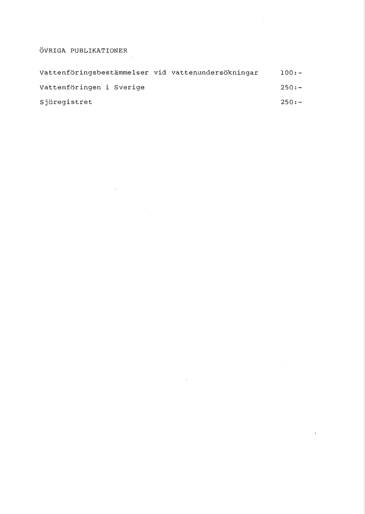### ÖVRIGA PUBLIKATIONER

| Vattenföringsbestämmelser vid vattenundersökningar |  | $100:-$ |
|----------------------------------------------------|--|---------|
| Vattenföringen i Sverige                           |  | $250:-$ |
| Sjöregistret                                       |  | $250:-$ |

 $\mathcal{A}$ 

 $\mathcal{L}^{\text{max}}$ 

 $\frac{1}{2} \left( \frac{1}{2} \right)$  ,  $\frac{1}{2} \left( \frac{1}{2} \right)$ 

 $\sim$ 

 $\sim$   $\sim$ 

 $\sim$ 

 $\mathcal{A}$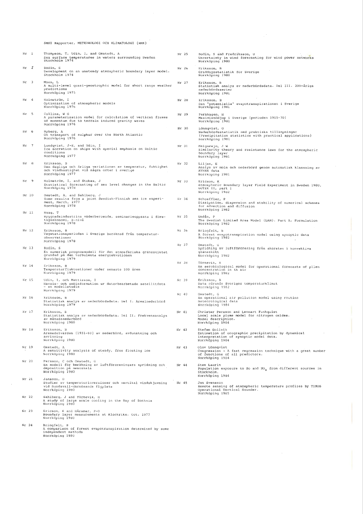SMHI Rapporter, METEOROLOGI OCH KLIMATOLOGI (RMK)

|                  | Nr l             | Thompson, T, Udin, I, and Omstedt, A<br>Sea surface temperatures in waters surrounding Sweden<br>Stockholm 1974                              | $Nr$ 25          | Bodin, S and Fredriksson, U<br>Uncertainty in wind forecasting for wind power networks<br>Norrköping 1980                                    |
|------------------|------------------|----------------------------------------------------------------------------------------------------------------------------------------------|------------------|----------------------------------------------------------------------------------------------------------------------------------------------|
|                  | Nr Z             | Bodin, S<br>Development on an unsteady atmospheric boundary layer model.<br>Stockholm 1974                                                   | $Nr$ 26          | Eriksson, B<br>Graddagsstatistik för Sverige<br>Norrköping 1980                                                                              |
|                  | Nr <sub>3</sub>  | Moen, L<br>A multi-level quasi-geostrophic model for short range weather<br>predictions<br>Norrköping 1975                                   | $Nr$ 27          | Eriksson, B<br>Statistisk analys av nederbördsdata. Del III. 200-åriga<br>nederbördsserier<br>Norrköping 1981                                |
|                  | $Nr$ 4           | Holmström, I<br>Optimization of atmospheric models<br>Norrköping 1976                                                                        | Nr 28            | Eriksson, B<br>Den "potentiella" evapotranspirationen i Sverige<br>Norrköping 1981                                                           |
|                  | $Nr$ 5           | Collins. W G<br>A parameterization model for calculation of vertical fluxes<br>of momentum due to terrain induced gravity waves              | Nr 29            | Pershagen, H<br>Maximisnödjup i Sverige (perioden 1905-70)<br>Norrköping 1981                                                                |
|                  | $Nr$ 6           | Norrköping 1976<br>Nyberg, A<br>On transport of sulphur over the North Atlantic<br>Norrköping 1976                                           | Nr 30            | Lönnqvist, O<br>Nederbördsstatistik med praktiska tillämpningar<br>(Precipitation statistics with practical applications)<br>Norrköping 1981 |
|                  | $Nr$ 7           | Lundqvist, J-E, and Udin, I<br>Ice accretion on ships with special emphasis on Baltic<br>conditions<br>Norrköping 1977                       | Nr <sub>31</sub> | Melgarejo, J W<br>Similarity theory and resistance laws for the atmospheric<br>boundary layer<br>Norrköping 1981                             |
|                  | Nr 8             | Eriksson, B<br>Den dagliga och årliga variationen av temperatur, fuktighet<br>och vindhastighet vid några orter i sverige<br>Norrköping 1977 | $Nr$ 32          | Liljas, E<br>Analys av moln och nederbörd genom automatisk klassning av<br>AVHRR data<br>Norrköping 1981                                     |
|                  | $Nr = 9$         | Holmström, I, and Stokes, J<br>Statistical forecasting of sea level changes in the Baltic<br>Norrköping 1978                                 | $Nr$ 33          | Ericson, K<br>Atmospheric Boundary layer Field Experiment in Sweden 1980,<br>GOTEX II, part I<br>Norrköping 1982                             |
|                  | $Nr$ 10          | Omstedt, A, and Sahlberg, J<br>Some results from a joint Swedish-Finnish sea ice experi-<br>ment, March, 1977<br>Norrköping 1978             | $Nr$ 34          | Schoeffler, P<br>Dissipation, dispersion and stability of numerical schemes<br>for advection and diffusion<br>Norrköping 1982                |
|                  | Nr 11            | Haag, T<br>Byggnadsindustrins väderberoende, seminarieuppsats i före-<br>tagsekonomi, B-nivå<br>Norrköping 1978                              | Nr 35            | Undén, P<br>The Swedish Limited Area Model (LAM). Part A. Formulation<br>Norrköping 1982                                                     |
|                  | Nr 12            | Eriksson, B<br>Vegetationsperioden i Sverige beräknad från temperatur-<br>observationer<br>Norrköping 1978                                   | $Nr$ 36          | Bringfelt, B<br>A forest evapotranspiration model using synoptic data<br>Norrköping 1982                                                     |
|                  | Nr <sub>13</sub> | Bodin, S<br>En numerisk prognosmodell för det atmosfäriska gränsskiktet<br>grundad på den turbulenta energiekvationen<br>Norrköping 1979     | $Nr$ 37          | Omstedt, G<br>Spridning av luftförorening från skorsten i konvektiva<br>gränsskikt<br>Norrköping 1982                                        |
|                  | Nr 14            | Eriksson, B<br>Temperaturfluktuationer under senaste 100 åren<br>Norrköping 1979                                                             | Nr 38            | Törnevik, H<br>An aerobiological model for operational forecasts of pllen<br>concentration in th air<br>Norrköping 1982                      |
|                  | Nr 15            | Udin, I, och Mattisson, I<br>Havsis- och snöinformation ur datorbearbetade satellitdata<br>- en modellstudie<br>Norrköping 1979              | Nr 39            | Eriksson, B<br>Data rörande Sveriges temperaturklimat<br>Norrköping 1982                                                                     |
|                  | $Nr$ 16          | Eriksson, B<br>Statistisk analys av nederbördsdata. Del I. Arealnederbörd<br>Norrköping 1979                                                 | $Nr$ 40          | Omstedt, G<br>An operational air pollution model using routine<br>meteorological data<br>Norrköping 1984                                     |
|                  | Nr <sub>17</sub> | Eriksson, B<br>Statistisk analys av nederbördsdata. Del II. Frekvensanalys<br>av månadsnederbörd<br>MOLLKODIUG TAGO                          | Nr 41            | Christer Persson and Lennart Funkquist<br>Local scale plume model for nitrogen oxides.<br>Model description.<br>Norrkoping 1984              |
|                  | Nr 18            | Eriksson, B<br>Arsmedelvärden (1931-60) av nederbörd, avdunstning och<br>avrinning<br>Norrköping 1980                                        | $Nr$ 42          | Stefan Gollvik<br>Estimation of orographic precipitation by dynamical<br>interpretation of synoptic model data.<br>Norrköping 1984           |
| Nr 19            |                  | Omstedt, A<br>A sensitivity analysis of steady, free floating ice<br>Norrköping 1980                                                         | Nr 43            | Olov Lönnqvist<br>Congression - A fast regression technique with a great number<br>of functions of all predictors.                           |
|                  | Nr 20            | Persson, C och Omstedt, G<br>En modell för beräkning av luftföroreningars spridning och<br>deposition på mesoskala<br>Norrköping 1980        | $Nr$ 44          | Norrköping 1984<br>Sten Laurin<br>Population exposure to So and $NOx$ from different sources in<br>Stockholm.<br>Norrköping 1984             |
| Nr <sub>21</sub> |                  | Jansson, D<br>Studier av temperaturinversioner och vertikal vindskjuvning<br>vid Sundsvall-Härnösands flyplats<br>Norrköping 1980            | Nr 45            | Jan Svensson<br>Remote sensing of atmospheric temperature profiles by TIROS<br>Operational Vertical Sounder.                                 |
| Nr 22            |                  | Sahlberg, J and Törnevik, H<br>A study of large scale cooling in the Bay of Bothnia<br>Norrköping 1980                                       |                  | Norrköping 1985                                                                                                                              |
| $Nr$ 23          |                  | Ericson, K and Hårsmar, P-O<br>Boundary layer measurements at Klockrike. Oct. 1977<br>Norrköping 1980                                        |                  |                                                                                                                                              |
| Nr 24            |                  | Bringfelt, B                                                                                                                                 |                  |                                                                                                                                              |

Bringfelt, B<br>A comparison of forest evapotranspiration determined by some<br>independent methods<br>Norrköping 1980

 $\mathcal{A}$ 

 $\sim 10^7$ 

 $\frac{1}{2} \frac{1}{2} \frac{1}{2}$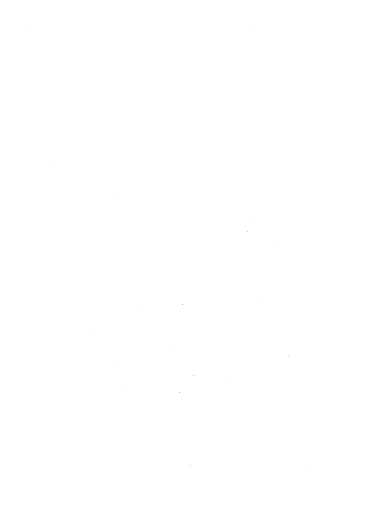$\mathcal{L}^{\text{max}}_{\text{max}}$  ,  $\mathcal{L}^{\text{max}}_{\text{max}}$  $\label{eq:2.1} \mathcal{L} = \frac{1}{2} \sum_{i=1}^n \frac{1}{2} \sum_{j=1}^n \frac{1}{2} \sum_{j=1}^n \frac{1}{2} \sum_{j=1}^n \frac{1}{2} \sum_{j=1}^n \frac{1}{2} \sum_{j=1}^n \frac{1}{2} \sum_{j=1}^n \frac{1}{2} \sum_{j=1}^n \frac{1}{2} \sum_{j=1}^n \frac{1}{2} \sum_{j=1}^n \frac{1}{2} \sum_{j=1}^n \frac{1}{2} \sum_{j=1}^n \frac{1}{2} \sum_{j=$  $\label{eq:2.1} \mathcal{L}(\mathcal{L}(\mathcal{L}))=\mathcal{L}(\mathcal{L}(\mathcal{L}))=\mathcal{L}(\mathcal{L}(\mathcal{L}))=\mathcal{L}(\mathcal{L}(\mathcal{L}))=\mathcal{L}(\mathcal{L}(\mathcal{L}))=\mathcal{L}(\mathcal{L}(\mathcal{L}))=\mathcal{L}(\mathcal{L}(\mathcal{L}))=\mathcal{L}(\mathcal{L}(\mathcal{L}))=\mathcal{L}(\mathcal{L}(\mathcal{L}))=\mathcal{L}(\mathcal{L}(\mathcal{L}))=\mathcal{L}(\mathcal{L}(\mathcal{L}))=\mathcal{L}(\mathcal{L}(\$  $\label{eq:2.1} \mathcal{L}(\mathcal{L}(\mathcal{L})) = \mathcal{L}(\mathcal{L}(\mathcal{L})) = \mathcal{L}(\mathcal{L}(\mathcal{L})) = \mathcal{L}(\mathcal{L}(\mathcal{L})) = \mathcal{L}(\mathcal{L}(\mathcal{L})) = \mathcal{L}(\mathcal{L}(\mathcal{L})) = \mathcal{L}(\mathcal{L}(\mathcal{L})) = \mathcal{L}(\mathcal{L}(\mathcal{L})) = \mathcal{L}(\mathcal{L}(\mathcal{L})) = \mathcal{L}(\mathcal{L}(\mathcal{L})) = \mathcal{L}(\mathcal{L}(\mathcal{L})) = \math$ 

 $\label{eq:2.1} \mathcal{L}(\mathcal{L}^{\text{max}}_{\mathcal{L}}(\mathcal{L}^{\text{max}}_{\mathcal{L}}),\mathcal{L}^{\text{max}}_{\mathcal{L}}(\mathcal{L}^{\text{max}}_{\mathcal{L}}))$  $\label{eq:2.1} \frac{1}{\sqrt{2}}\sum_{i=1}^n\frac{1}{\sqrt{2}}\sum_{i=1}^n\frac{1}{\sqrt{2}}\sum_{i=1}^n\frac{1}{\sqrt{2}}\sum_{i=1}^n\frac{1}{\sqrt{2}}\sum_{i=1}^n\frac{1}{\sqrt{2}}\sum_{i=1}^n\frac{1}{\sqrt{2}}\sum_{i=1}^n\frac{1}{\sqrt{2}}\sum_{i=1}^n\frac{1}{\sqrt{2}}\sum_{i=1}^n\frac{1}{\sqrt{2}}\sum_{i=1}^n\frac{1}{\sqrt{2}}\sum_{i=1}^n\frac$  $\label{eq:2.1} \frac{1}{\sqrt{2\pi}}\left(\frac{1}{\sqrt{2\pi}}\right)^{2} \left(\frac{1}{\sqrt{2\pi}}\right)^{2} \left(\frac{1}{\sqrt{2\pi}}\right)^{2} \left(\frac{1}{\sqrt{2\pi}}\right)^{2} \left(\frac{1}{\sqrt{2\pi}}\right)^{2} \left(\frac{1}{\sqrt{2\pi}}\right)^{2} \left(\frac{1}{\sqrt{2\pi}}\right)^{2} \left(\frac{1}{\sqrt{2\pi}}\right)^{2} \left(\frac{1}{\sqrt{2\pi}}\right)^{2} \left(\frac{1}{\sqrt{2\pi}}\right)^{2$ 

 $\mathcal{L}^{\text{max}}_{\text{max}}$  and  $\mathcal{L}^{\text{max}}_{\text{max}}$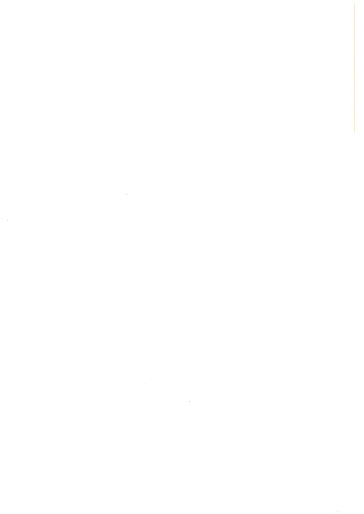$\label{eq:2.1} \frac{1}{2} \sum_{i=1}^n \frac{1}{2} \sum_{j=1}^n \frac{1}{2} \sum_{j=1}^n \frac{1}{2} \sum_{j=1}^n \frac{1}{2} \sum_{j=1}^n \frac{1}{2} \sum_{j=1}^n \frac{1}{2} \sum_{j=1}^n \frac{1}{2} \sum_{j=1}^n \frac{1}{2} \sum_{j=1}^n \frac{1}{2} \sum_{j=1}^n \frac{1}{2} \sum_{j=1}^n \frac{1}{2} \sum_{j=1}^n \frac{1}{2} \sum_{j=1}^n \frac{$